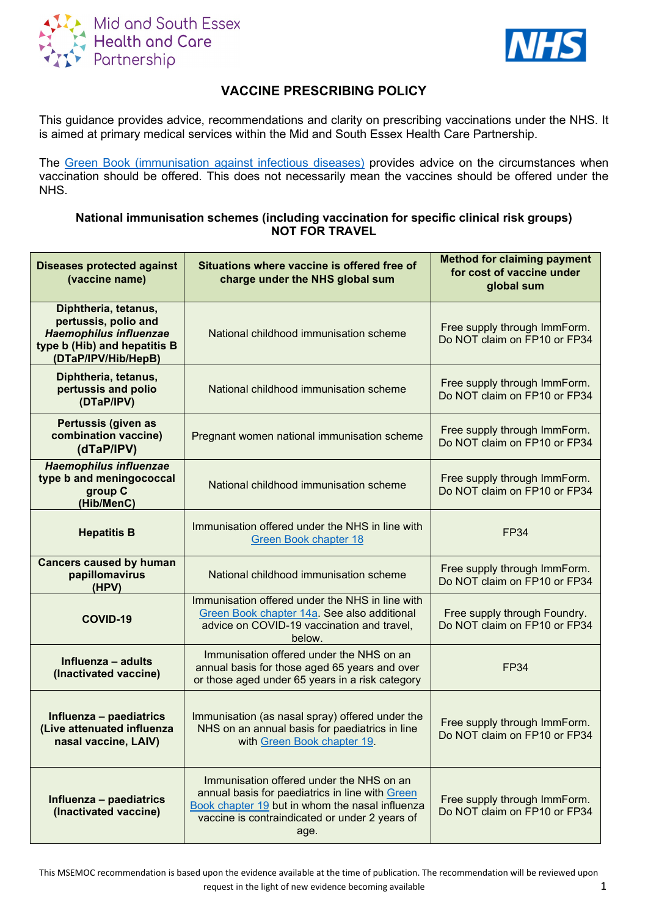



# **VACCINE PRESCRIBING POLICY**

This guidance provides advice, recommendations and clarity on prescribing vaccinations under the NHS. It is aimed at primary medical services within the Mid and South Essex Health Care Partnership.

The [Green Book \(immunisation against infectious diseases\)](https://www.gov.uk/government/collections/immunisation-against-infectious-disease-the-green-book) provides advice on the circumstances when vaccination should be offered. This does not necessarily mean the vaccines should be offered under the NHS.

## **National immunisation schemes (including vaccination for specific clinical risk groups) NOT FOR TRAVEL**

| <b>Diseases protected against</b><br>(vaccine name)                                                                                  | Situations where vaccine is offered free of<br>charge under the NHS global sum                                                                                                                           | <b>Method for claiming payment</b><br>for cost of vaccine under<br>global sum |
|--------------------------------------------------------------------------------------------------------------------------------------|----------------------------------------------------------------------------------------------------------------------------------------------------------------------------------------------------------|-------------------------------------------------------------------------------|
| Diphtheria, tetanus,<br>pertussis, polio and<br><b>Haemophilus influenzae</b><br>type b (Hib) and hepatitis B<br>(DTaP/IPV/Hib/HepB) | National childhood immunisation scheme                                                                                                                                                                   | Free supply through ImmForm.<br>Do NOT claim on FP10 or FP34                  |
| Diphtheria, tetanus,<br>pertussis and polio<br>(DTaP/IPV)                                                                            | National childhood immunisation scheme                                                                                                                                                                   | Free supply through ImmForm.<br>Do NOT claim on FP10 or FP34                  |
| Pertussis (given as<br>combination vaccine)<br>(dTaP/IPV)                                                                            | Pregnant women national immunisation scheme                                                                                                                                                              | Free supply through ImmForm.<br>Do NOT claim on FP10 or FP34                  |
| <b>Haemophilus influenzae</b><br>type b and meningococcal<br>group C<br>(Hib/MenC)                                                   | National childhood immunisation scheme                                                                                                                                                                   | Free supply through ImmForm.<br>Do NOT claim on FP10 or FP34                  |
| <b>Hepatitis B</b>                                                                                                                   | Immunisation offered under the NHS in line with<br><b>Green Book chapter 18</b>                                                                                                                          | <b>FP34</b>                                                                   |
| <b>Cancers caused by human</b><br>papillomavirus<br>(HPV)                                                                            | National childhood immunisation scheme                                                                                                                                                                   | Free supply through ImmForm.<br>Do NOT claim on FP10 or FP34                  |
| <b>COVID-19</b>                                                                                                                      | Immunisation offered under the NHS in line with<br>Green Book chapter 14a. See also additional<br>advice on COVID-19 vaccination and travel,<br>below.                                                   | Free supply through Foundry.<br>Do NOT claim on FP10 or FP34                  |
| Influenza - adults<br>(Inactivated vaccine)                                                                                          | Immunisation offered under the NHS on an<br>annual basis for those aged 65 years and over<br>or those aged under 65 years in a risk category                                                             | <b>FP34</b>                                                                   |
| Influenza - paediatrics<br>(Live attenuated influenza<br>nasal vaccine, LAIV)                                                        | Immunisation (as nasal spray) offered under the<br>NHS on an annual basis for paediatrics in line<br>with Green Book chapter 19.                                                                         | Free supply through ImmForm.<br>Do NOT claim on FP10 or FP34                  |
| Influenza - paediatrics<br>(Inactivated vaccine)                                                                                     | Immunisation offered under the NHS on an<br>annual basis for paediatrics in line with Green<br>Book chapter 19 but in whom the nasal influenza<br>vaccine is contraindicated or under 2 years of<br>age. | Free supply through ImmForm.<br>Do NOT claim on FP10 or FP34                  |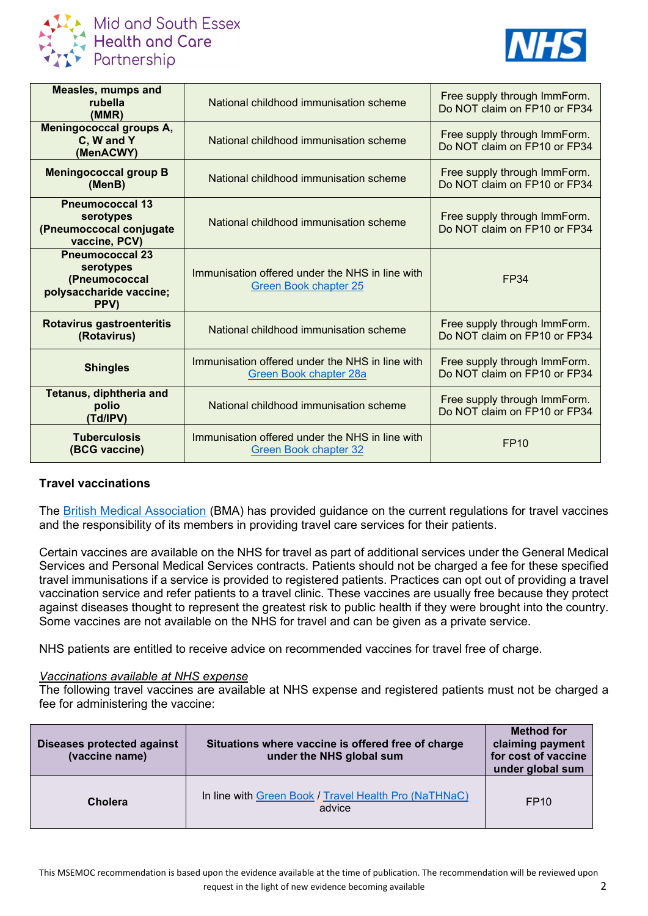

**Mid and South Essex** Health and Care<br>Partnership



| <b>Measles, mumps and</b><br>rubella<br>(MMR)                                           | National childhood immunisation scheme                                          | Free supply through ImmForm.<br>Do NOT claim on FP10 or FP34 |
|-----------------------------------------------------------------------------------------|---------------------------------------------------------------------------------|--------------------------------------------------------------|
| Meningococcal groups A,<br>C, W and Y<br>(MenACWY)                                      | National childhood immunisation scheme                                          | Free supply through ImmForm.<br>Do NOT claim on FP10 or FP34 |
| <b>Meningococcal group B</b><br>(MenB)                                                  | National childhood immunisation scheme                                          | Free supply through ImmForm.<br>Do NOT claim on FP10 or FP34 |
| <b>Pneumococcal 13</b><br>serotypes<br>(Pneumoccocal conjugate<br>vaccine, PCV)         | National childhood immunisation scheme                                          | Free supply through ImmForm.<br>Do NOT claim on FP10 or FP34 |
| <b>Pneumococcal 23</b><br>serotypes<br>(Pneumococcal<br>polysaccharide vaccine;<br>PPV) | Immunisation offered under the NHS in line with<br><b>Green Book chapter 25</b> | <b>FP34</b>                                                  |
| Rotavirus gastroenteritis<br>(Rotavirus)                                                | National childhood immunisation scheme                                          | Free supply through ImmForm.<br>Do NOT claim on FP10 or FP34 |
| <b>Shingles</b>                                                                         | Immunisation offered under the NHS in line with<br>Green Book chapter 28a       | Free supply through ImmForm.<br>Do NOT claim on FP10 or FP34 |
| Tetanus, diphtheria and<br>polio<br>(Td/IPV)                                            | National childhood immunisation scheme                                          | Free supply through ImmForm.<br>Do NOT claim on FP10 or FP34 |
| <b>Tuberculosis</b><br>(BCG vaccine)                                                    | Immunisation offered under the NHS in line with<br><b>Green Book chapter 32</b> | <b>FP10</b>                                                  |

## **Travel vaccinations**

The **British Medical Association (BMA)** has provided guidance on the current regulations for travel vaccines and the responsibility of its members in providing travel care services for their patients.

Certain vaccines are available on the NHS for travel as part of additional services under the General Medical Services and Personal Medical Services contracts. Patients should not be charged a fee for these specified travel immunisations if a service is provided to registered patients. Practices can opt out of providing a travel vaccination service and refer patients to a travel clinic. These vaccines are usually free because they protect against diseases thought to represent the greatest risk to public health if they were brought into the country. Some vaccines are not available on the NHS for travel and can be given as a private service.

NHS patients are entitled to receive advice on recommended vaccines for travel free of charge.

## *Vaccinations available at NHS expense*

The following travel vaccines are available at NHS expense and registered patients must not be charged a fee for administering the vaccine:

| Diseases protected against<br>(vaccine name) | Situations where vaccine is offered free of charge<br>under the NHS global sum | <b>Method for</b><br>claiming payment<br>for cost of vaccine<br>under global sum |
|----------------------------------------------|--------------------------------------------------------------------------------|----------------------------------------------------------------------------------|
| <b>Cholera</b>                               | In line with Green Book / Travel Health Pro (NaTHNaC)<br>advice                | FP <sub>10</sub>                                                                 |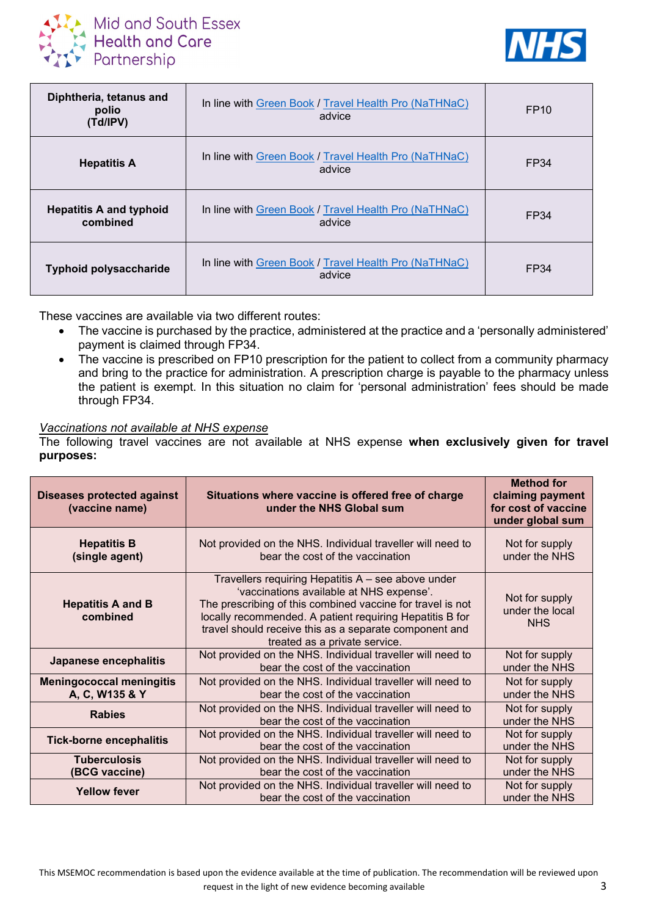



| Diphtheria, tetanus and<br>polio<br>(Td/IPV) | In line with Green Book / Travel Health Pro (NaTHNaC)<br>advice | FP <sub>10</sub> |
|----------------------------------------------|-----------------------------------------------------------------|------------------|
| <b>Hepatitis A</b>                           | In line with Green Book / Travel Health Pro (NaTHNaC)<br>advice | FP34             |
| <b>Hepatitis A and typhoid</b><br>combined   | In line with Green Book / Travel Health Pro (NaTHNaC)<br>advice | FP34             |
| <b>Typhoid polysaccharide</b>                | In line with Green Book / Travel Health Pro (NaTHNaC)<br>advice | FP34             |

These vaccines are available via two different routes:

- The vaccine is purchased by the practice, administered at the practice and a 'personally administered' payment is claimed through FP34.
- The vaccine is prescribed on FP10 prescription for the patient to collect from a community pharmacy and bring to the practice for administration. A prescription charge is payable to the pharmacy unless the patient is exempt. In this situation no claim for 'personal administration' fees should be made through FP34.

#### *Vaccinations not available at NHS expense*

The following travel vaccines are not available at NHS expense **when exclusively given for travel purposes:**

| <b>Diseases protected against</b><br>(vaccine name) | Situations where vaccine is offered free of charge<br>under the NHS Global sum                                                                                                                                                                                                                                      | <b>Method for</b><br>claiming payment<br>for cost of vaccine<br>under global sum |
|-----------------------------------------------------|---------------------------------------------------------------------------------------------------------------------------------------------------------------------------------------------------------------------------------------------------------------------------------------------------------------------|----------------------------------------------------------------------------------|
| <b>Hepatitis B</b><br>(single agent)                | Not provided on the NHS. Individual traveller will need to<br>bear the cost of the vaccination                                                                                                                                                                                                                      | Not for supply<br>under the NHS                                                  |
| <b>Hepatitis A and B</b><br>combined                | Travellers requiring Hepatitis A - see above under<br>'vaccinations available at NHS expense'.<br>The prescribing of this combined vaccine for travel is not<br>locally recommended. A patient requiring Hepatitis B for<br>travel should receive this as a separate component and<br>treated as a private service. | Not for supply<br>under the local<br><b>NHS</b>                                  |
| Japanese encephalitis                               | Not provided on the NHS. Individual traveller will need to<br>bear the cost of the vaccination                                                                                                                                                                                                                      | Not for supply<br>under the NHS                                                  |
| <b>Meningococcal meningitis</b><br>A, C, W135 & Y   | Not provided on the NHS. Individual traveller will need to<br>bear the cost of the vaccination                                                                                                                                                                                                                      | Not for supply<br>under the NHS                                                  |
| <b>Rabies</b>                                       | Not provided on the NHS. Individual traveller will need to<br>bear the cost of the vaccination                                                                                                                                                                                                                      | Not for supply<br>under the NHS                                                  |
| <b>Tick-borne encephalitis</b>                      | Not provided on the NHS. Individual traveller will need to<br>bear the cost of the vaccination                                                                                                                                                                                                                      | Not for supply<br>under the NHS                                                  |
| <b>Tuberculosis</b><br>(BCG vaccine)                | Not provided on the NHS. Individual traveller will need to<br>bear the cost of the vaccination                                                                                                                                                                                                                      | Not for supply<br>under the NHS                                                  |
| <b>Yellow fever</b>                                 | Not provided on the NHS. Individual traveller will need to<br>bear the cost of the vaccination                                                                                                                                                                                                                      | Not for supply<br>under the NHS                                                  |

This MSEMOC recommendation is based upon the evidence available at the time of publication. The recommendation will be reviewed upon request in the light of new evidence becoming available 3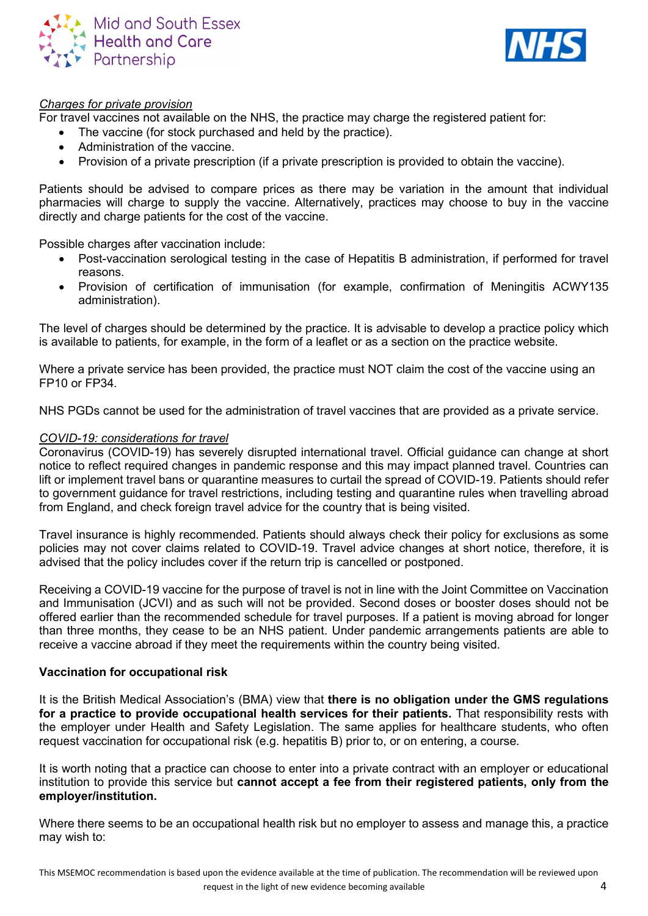



### *Charges for private provision*

For travel vaccines not available on the NHS, the practice may charge the registered patient for:

- The vaccine (for stock purchased and held by the practice).
- Administration of the vaccine.
- Provision of a private prescription (if a private prescription is provided to obtain the vaccine).

Patients should be advised to compare prices as there may be variation in the amount that individual pharmacies will charge to supply the vaccine. Alternatively, practices may choose to buy in the vaccine directly and charge patients for the cost of the vaccine.

Possible charges after vaccination include:

- Post-vaccination serological testing in the case of Hepatitis B administration, if performed for travel reasons.
- Provision of certification of immunisation (for example, confirmation of Meningitis ACWY135 administration).

The level of charges should be determined by the practice. It is advisable to develop a practice policy which is available to patients, for example, in the form of a leaflet or as a section on the practice website.

Where a private service has been provided, the practice must NOT claim the cost of the vaccine using an FP10 or FP34.

NHS PGDs cannot be used for the administration of travel vaccines that are provided as a private service.

#### *COVID-19: considerations for travel*

Coronavirus (COVID-19) has severely disrupted international travel. Official guidance can change at short notice to reflect required changes in pandemic response and this may impact planned travel. Countries can lift or implement travel bans or quarantine measures to curtail the spread of COVID-19. Patients should refer to government guidance for travel restrictions, including testing and quarantine rules when travelling abroad from England, and check foreign travel advice for the country that is being visited.

Travel insurance is highly recommended. Patients should always check their policy for exclusions as some policies may not cover claims related to COVID-19. Travel advice changes at short notice, therefore, it is advised that the policy includes cover if the return trip is cancelled or postponed.

Receiving a COVID-19 vaccine for the purpose of travel is not in line with the Joint Committee on Vaccination and Immunisation (JCVI) and as such will not be provided. Second doses or booster doses should not be offered earlier than the recommended schedule for travel purposes. If a patient is moving abroad for longer than three months, they cease to be an NHS patient. Under pandemic arrangements patients are able to receive a vaccine abroad if they meet the requirements within the country being visited.

#### **Vaccination for occupational risk**

It is the British Medical Association's (BMA) view that **there is no obligation under the GMS regulations for a practice to provide occupational health services for their patients.** That responsibility rests with the employer under Health and Safety Legislation. The same applies for healthcare students, who often request vaccination for occupational risk (e.g. hepatitis B) prior to, or on entering, a course.

It is worth noting that a practice can choose to enter into a private contract with an employer or educational institution to provide this service but **cannot accept a fee from their registered patients, only from the employer/institution.**

Where there seems to be an occupational health risk but no employer to assess and manage this, a practice may wish to: